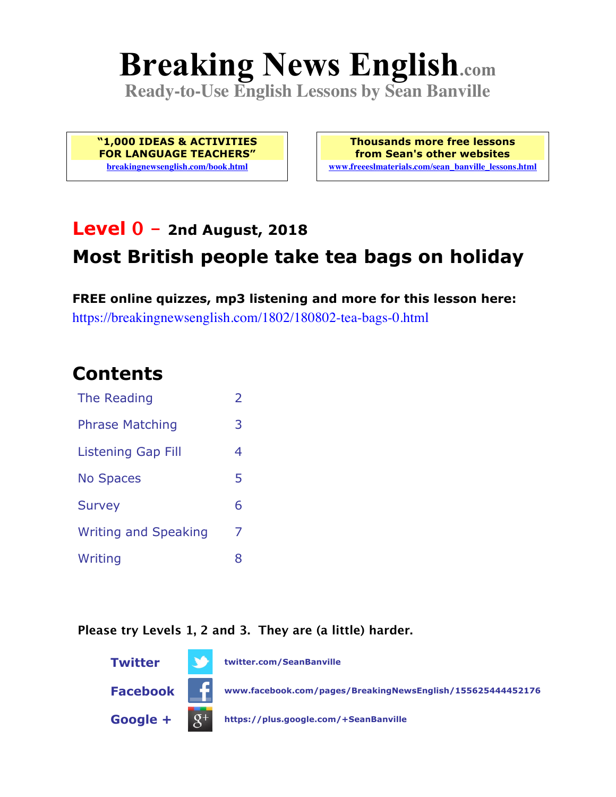# **Breaking News English.com**

**Ready-to-Use English Lessons by Sean Banville**

**"1,000 IDEAS & ACTIVITIES FOR LANGUAGE TEACHERS" breakingnewsenglish.com/book.html**

**Thousands more free lessons from Sean's other websites www.freeeslmaterials.com/sean\_banville\_lessons.html**

### **Level 0 - 2nd August, 2018**

# **Most British people take tea bags on holiday**

**FREE online quizzes, mp3 listening and more for this lesson here:** https://breakingnewsenglish.com/1802/180802-tea-bags-0.html

### **Contents**

| The Reading                 | $\overline{2}$ |
|-----------------------------|----------------|
| <b>Phrase Matching</b>      | 3              |
| Listening Gap Fill          | 4              |
| <b>No Spaces</b>            | 5              |
| <b>Survey</b>               | 6              |
| <b>Writing and Speaking</b> | 7              |
| Writing                     | 8              |

#### **Please try Levels 1, 2 and 3. They are (a little) harder.**

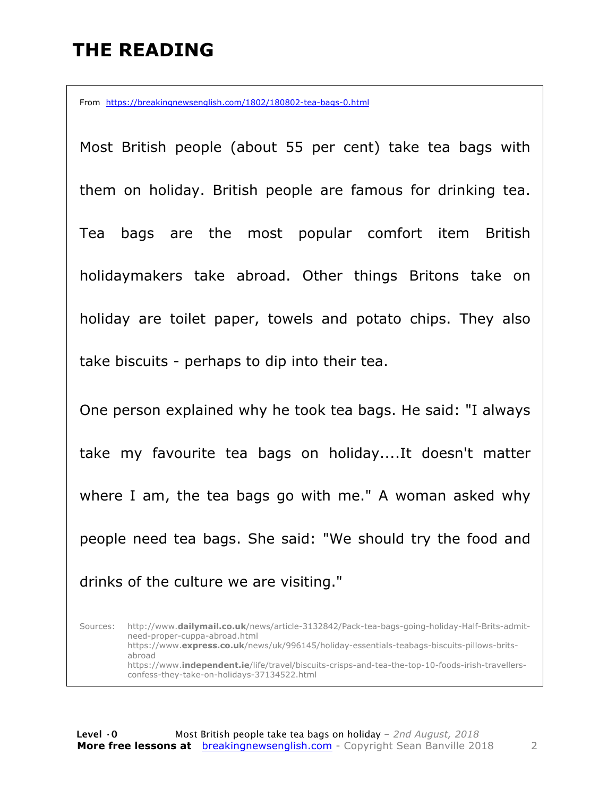## **THE READING**

From https://breakingnewsenglish.com/1802/180802-tea-bags-0.html

Most British people (about 55 per cent) take tea bags with them on holiday. British people are famous for drinking tea. Tea bags are the most popular comfort item British holidaymakers take abroad. Other things Britons take on holiday are toilet paper, towels and potato chips. They also take biscuits - perhaps to dip into their tea.

One person explained why he took tea bags. He said: "I always take my favourite tea bags on holiday....It doesn't matter where I am, the tea bags go with me." A woman asked why people need tea bags. She said: "We should try the food and drinks of the culture we are visiting."

Sources: http://www.**dailymail.co.uk**/news/article-3132842/Pack-tea-bags-going-holiday-Half-Brits-admitneed-proper-cuppa-abroad.html https://www.**express.co.uk**/news/uk/996145/holiday-essentials-teabags-biscuits-pillows-britsabroad https://www.**independent.ie**/life/travel/biscuits-crisps-and-tea-the-top-10-foods-irish-travellersconfess-they-take-on-holidays-37134522.html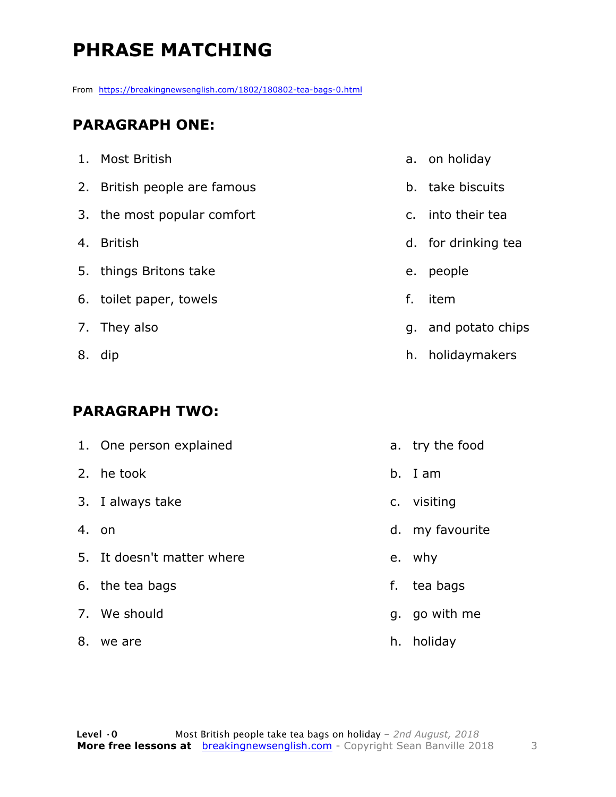# **PHRASE MATCHING**

From https://breakingnewsenglish.com/1802/180802-tea-bags-0.html

#### **PARAGRAPH ONE:**

|    | 1. Most British              |    | a. on holiday       |
|----|------------------------------|----|---------------------|
|    | 2. British people are famous |    | b. take biscuits    |
|    | 3. the most popular comfort  |    | c. into their tea   |
| 4. | <b>British</b>               |    | d. for drinking tea |
|    | 5. things Britons take       |    | e. people           |
|    | 6. toilet paper, towels      | f. | item                |
|    | 7. They also                 |    | g. and potato chips |
|    | 8. dip                       |    | h. holidaymakers    |

#### **PARAGRAPH TWO:**

|    | 1. One person explained    |    | a. try the food |
|----|----------------------------|----|-----------------|
|    | 2. he took                 |    | b. I am         |
|    | 3. I always take           |    | c. visiting     |
|    | 4. on                      |    | d. my favourite |
|    | 5. It doesn't matter where |    | e. why          |
|    | 6. the tea bags            |    | f. tea bags     |
|    | 7. We should               |    | g. go with me   |
| 8. | we are                     | h. | holiday         |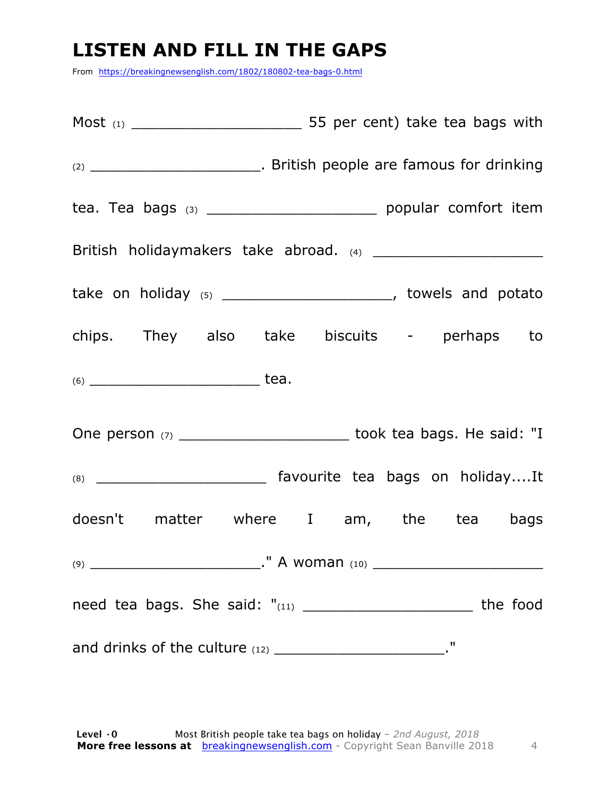# **LISTEN AND FILL IN THE GAPS**

From https://breakingnewsenglish.com/1802/180802-tea-bags-0.html

| (2) __________________________________. British people are famous for drinking |  |      |  |
|--------------------------------------------------------------------------------|--|------|--|
|                                                                                |  |      |  |
|                                                                                |  |      |  |
| take on holiday $(5)$ __________________________, towels and potato            |  |      |  |
| chips. They also take biscuits - perhaps to                                    |  |      |  |
|                                                                                |  |      |  |
| One person (7) _____________________________ took tea bags. He said: "I        |  |      |  |
| (8) _______________________________ favourite tea bags on holidayIt            |  |      |  |
| doesn't matter where I am, the tea bags                                        |  |      |  |
|                                                                                |  |      |  |
| need tea bags. She said: "(11) _____________________________ the food          |  |      |  |
|                                                                                |  | - 11 |  |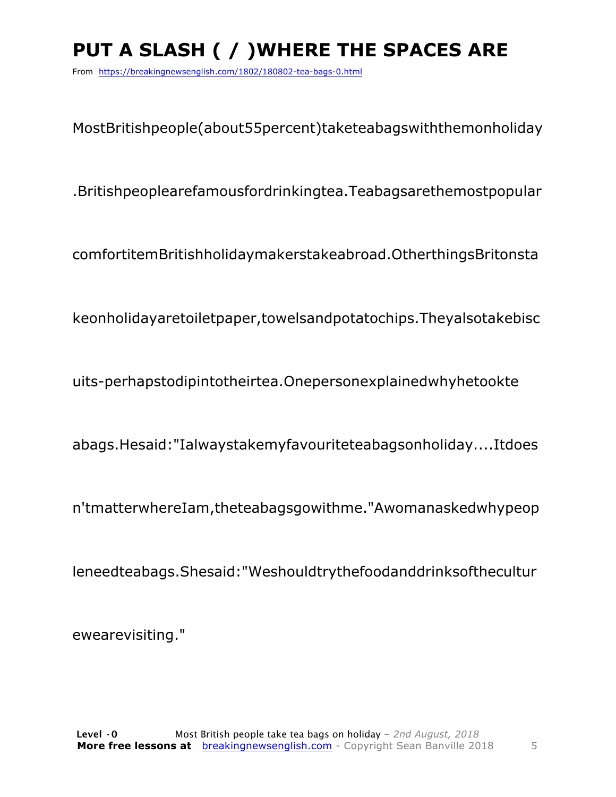# **PUT A SLASH ( / )WHERE THE SPACES ARE**

From https://breakingnewsenglish.com/1802/180802-tea-bags-0.html

MostBritishpeople(about55percent)taketeabagswiththemonholiday

.Britishpeoplearefamousfordrinkingtea.Teabagsarethemostpopular

comfortitemBritishholidaymakerstakeabroad.OtherthingsBritonsta

keonholidayaretoiletpaper,towelsandpotatochips.Theyalsotakebisc

uits-perhapstodipintotheirtea.Onepersonexplainedwhyhetookte

abags.Hesaid:"Ialwaystakemyfavouriteteabagsonholiday....Itdoes

n'tmatterwhereIam,theteabagsgowithme."Awomanaskedwhypeop

leneedteabags.Shesaid:"Weshouldtrythefoodanddrinksofthecultur

ewearevisiting."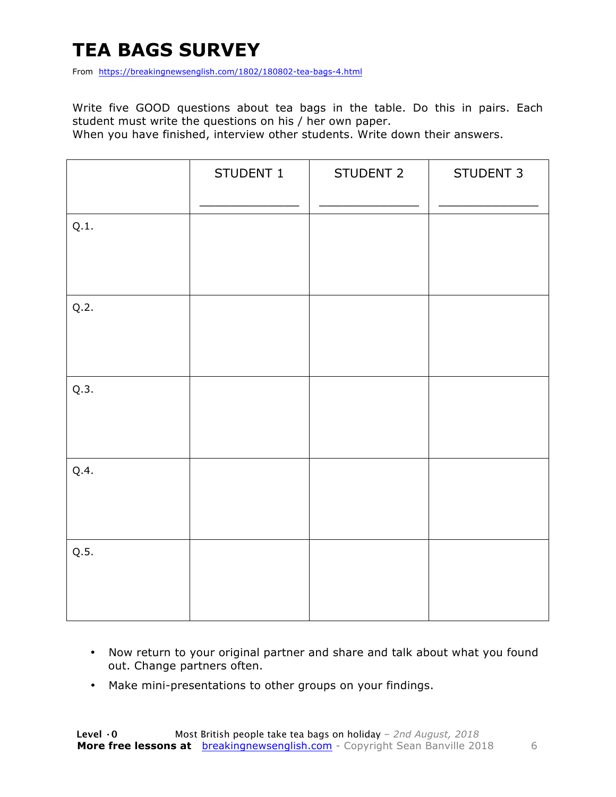# **TEA BAGS SURVEY**

From https://breakingnewsenglish.com/1802/180802-tea-bags-4.html

Write five GOOD questions about tea bags in the table. Do this in pairs. Each student must write the questions on his / her own paper.

When you have finished, interview other students. Write down their answers.

|      | STUDENT 1 | STUDENT 2 | STUDENT 3 |
|------|-----------|-----------|-----------|
| Q.1. |           |           |           |
| Q.2. |           |           |           |
| Q.3. |           |           |           |
| Q.4. |           |           |           |
| Q.5. |           |           |           |

- Now return to your original partner and share and talk about what you found out. Change partners often.
- Make mini-presentations to other groups on your findings.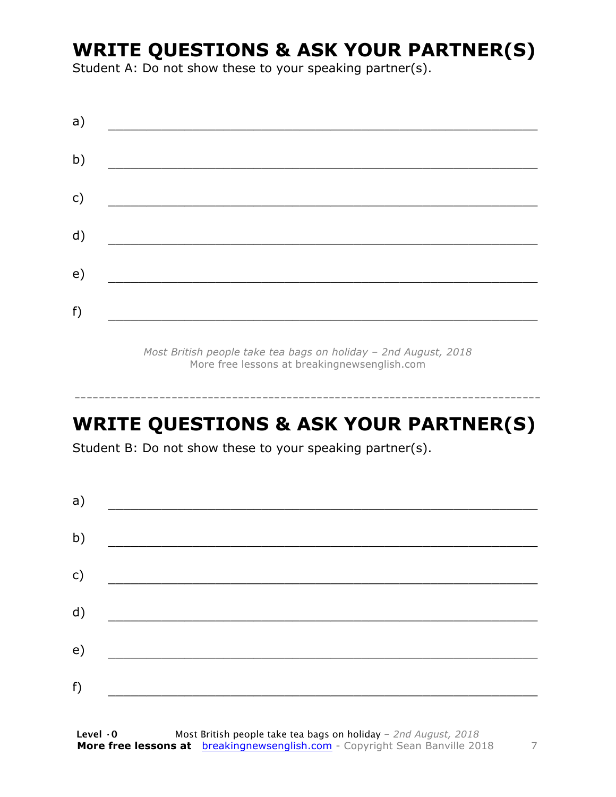### **WRITE QUESTIONS & ASK YOUR PARTNER(S)**

Student A: Do not show these to your speaking partner(s).

| a) |  |  |
|----|--|--|
| b) |  |  |
| c) |  |  |
| d) |  |  |
| e) |  |  |
| f) |  |  |
|    |  |  |

*Most British people take tea bags on holiday – 2nd August, 2018* More free lessons at breakingnewsenglish.com

### **WRITE QUESTIONS & ASK YOUR PARTNER(S)**

-----------------------------------------------------------------------------

Student B: Do not show these to your speaking partner(s).

| a) |  |  |
|----|--|--|
| b) |  |  |
| c) |  |  |
| d) |  |  |
| e) |  |  |
| f) |  |  |
|    |  |  |